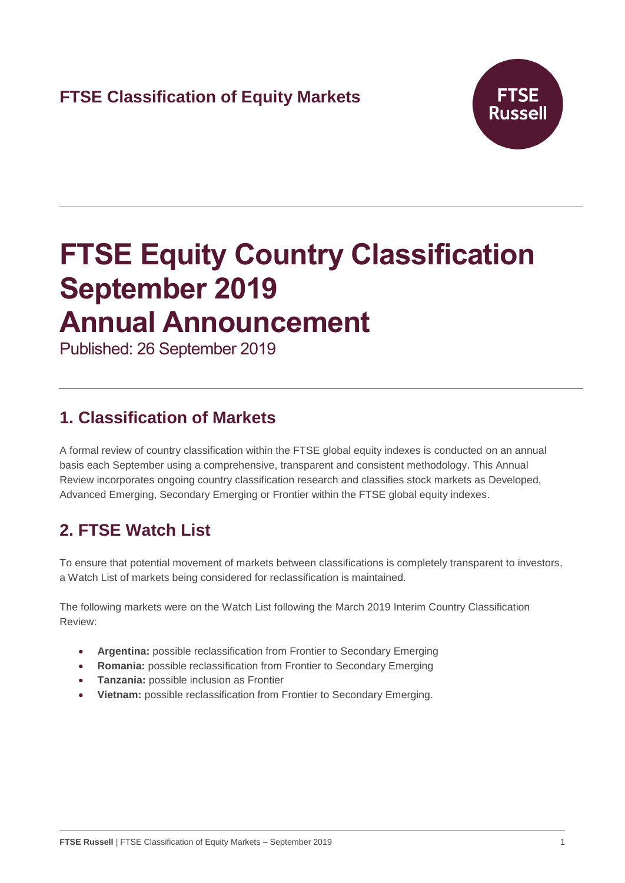

# **FTSE Equity Country Classification September 2019 Annual Announcement**

Published: 26 September 2019

# **1. Classification of Markets**

A formal review of country classification within the FTSE global equity indexes is conducted on an annual basis each September using a comprehensive, transparent and consistent methodology. This Annual Review incorporates ongoing country classification research and classifies stock markets as Developed, Advanced Emerging, Secondary Emerging or Frontier within the FTSE global equity indexes.

# **2. FTSE Watch List**

To ensure that potential movement of markets between classifications is completely transparent to investors, a Watch List of markets being considered for reclassification is maintained.

The following markets were on the Watch List following the March 2019 Interim Country Classification Review:

- **Argentina:** possible reclassification from Frontier to Secondary Emerging
- **Romania:** possible reclassification from Frontier to Secondary Emerging
- **Tanzania:** possible inclusion as Frontier
- **Vietnam:** possible reclassification from Frontier to Secondary Emerging.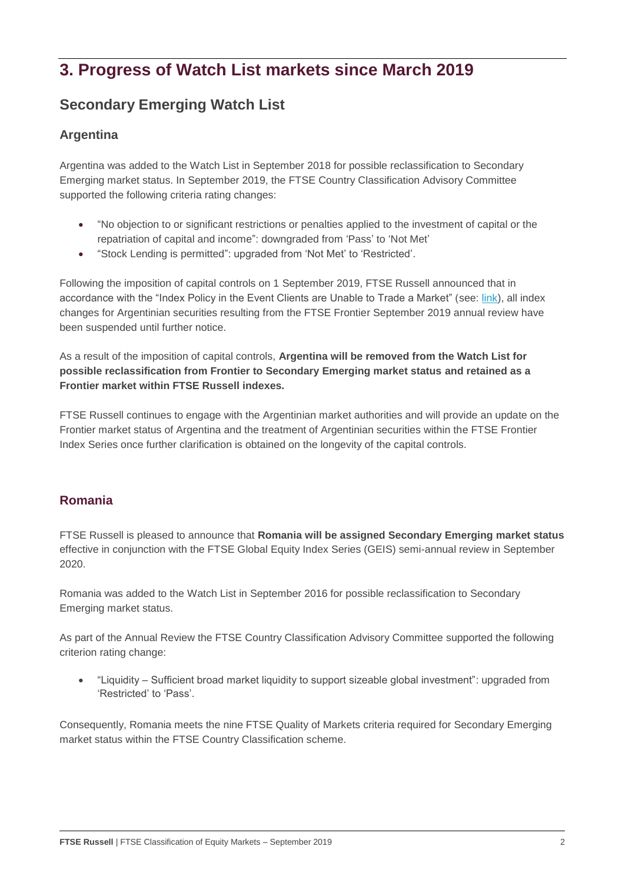# **3. Progress of Watch List markets since March 2019**

## **Secondary Emerging Watch List**

## **Argentina**

Argentina was added to the Watch List in September 2018 for possible reclassification to Secondary Emerging market status. In September 2019, the FTSE Country Classification Advisory Committee supported the following criteria rating changes:

- "No objection to or significant restrictions or penalties applied to the investment of capital or the repatriation of capital and income": downgraded from 'Pass' to 'Not Met'
- "Stock Lending is permitted": upgraded from 'Not Met' to 'Restricted'.

Following the imposition of capital controls on 1 September 2019, FTSE Russell announced that in accordance with the "Index Policy in the Event Clients are Unable to Trade a Market" (see: [link\)](https://research.ftserussell.com/products/downloads/FTSE_Russell_Index_Policy_in_the_Event_Clients_are_Unable_to_Trade_a_Market.pdf?_ga=2.153183672.1461169762.1567512702-465125863.1559563516&_gac=1.254020284.1565371230.EAIaIQobChMI5Ze4nKb24wIVhJyzCh0-PAlvEAAYASAAEgI_tvD_BwE), all index changes for Argentinian securities resulting from the FTSE Frontier September 2019 annual review have been suspended until further notice.

As a result of the imposition of capital controls, **Argentina will be removed from the Watch List for possible reclassification from Frontier to Secondary Emerging market status and retained as a Frontier market within FTSE Russell indexes.**

FTSE Russell continues to engage with the Argentinian market authorities and will provide an update on the Frontier market status of Argentina and the treatment of Argentinian securities within the FTSE Frontier Index Series once further clarification is obtained on the longevity of the capital controls.

### **Romania**

FTSE Russell is pleased to announce that **Romania will be assigned Secondary Emerging market status** effective in conjunction with the FTSE Global Equity Index Series (GEIS) semi-annual review in September 2020.

Romania was added to the Watch List in September 2016 for possible reclassification to Secondary Emerging market status.

As part of the Annual Review the FTSE Country Classification Advisory Committee supported the following criterion rating change:

• "Liquidity – Sufficient broad market liquidity to support sizeable global investment": upgraded from 'Restricted' to 'Pass'.

Consequently, Romania meets the nine FTSE Quality of Markets criteria required for Secondary Emerging market status within the FTSE Country Classification scheme.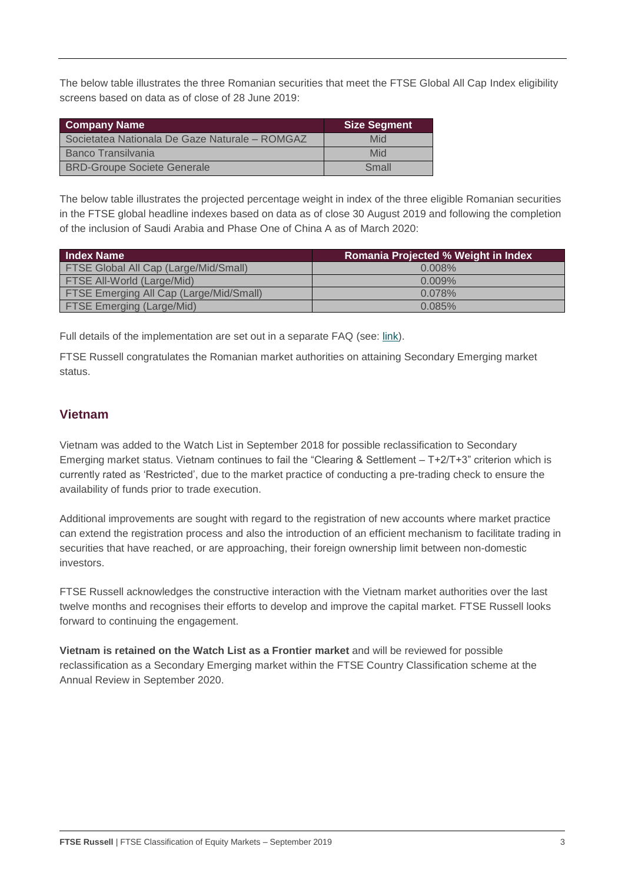The below table illustrates the three Romanian securities that meet the FTSE Global All Cap Index eligibility screens based on data as of close of 28 June 2019:

| <b>Company Name</b>                            | Size Segment |
|------------------------------------------------|--------------|
| Societatea Nationala De Gaze Naturale - ROMGAZ | Mid          |
| Banco Transilvania                             | Mid          |
| <b>BRD-Groupe Societe Generale</b>             | Small        |

The below table illustrates the projected percentage weight in index of the three eligible Romanian securities in the FTSE global headline indexes based on data as of close 30 August 2019 and following the completion of the inclusion of Saudi Arabia and Phase One of China A as of March 2020:

| <b>Index Name</b>                              | <b>Romania Projected % Weight in Index</b> |
|------------------------------------------------|--------------------------------------------|
| <b>FTSE Global All Cap (Large/Mid/Small)</b>   | $0.008\%$                                  |
| <b>FTSE All-World (Large/Mid)</b>              | $0.009\%$                                  |
| <b>FTSE Emerging All Cap (Large/Mid/Small)</b> | 0.078%                                     |
| <b>FTSE Emerging (Large/Mid)</b>               | 0.085%                                     |

Full details of the implementation are set out in a separate FAQ (see: [link\)](https://research.ftserussell.com/products/downloads/FTSE_FAQ_Document_Romania.pdf).

FTSE Russell congratulates the Romanian market authorities on attaining Secondary Emerging market status.

## **Vietnam**

Vietnam was added to the Watch List in September 2018 for possible reclassification to Secondary Emerging market status. Vietnam continues to fail the "Clearing & Settlement – T+2/T+3" criterion which is currently rated as 'Restricted', due to the market practice of conducting a pre-trading check to ensure the availability of funds prior to trade execution.

Additional improvements are sought with regard to the registration of new accounts where market practice can extend the registration process and also the introduction of an efficient mechanism to facilitate trading in securities that have reached, or are approaching, their foreign ownership limit between non-domestic investors.

FTSE Russell acknowledges the constructive interaction with the Vietnam market authorities over the last twelve months and recognises their efforts to develop and improve the capital market. FTSE Russell looks forward to continuing the engagement.

**Vietnam is retained on the Watch List as a Frontier market** and will be reviewed for possible reclassification as a Secondary Emerging market within the FTSE Country Classification scheme at the Annual Review in September 2020.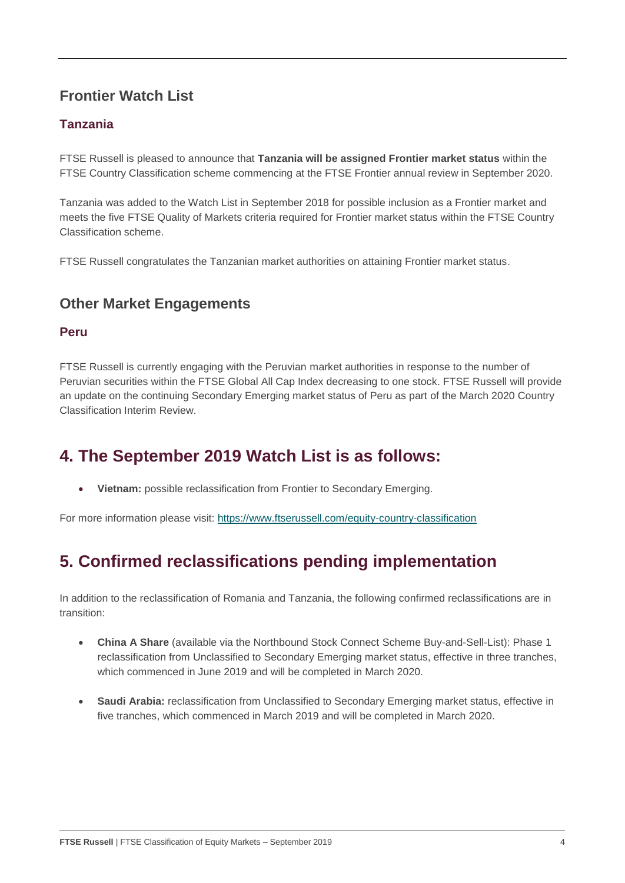## **Frontier Watch List**

## **Tanzania**

FTSE Russell is pleased to announce that **Tanzania will be assigned Frontier market status** within the FTSE Country Classification scheme commencing at the FTSE Frontier annual review in September 2020.

Tanzania was added to the Watch List in September 2018 for possible inclusion as a Frontier market and meets the five FTSE Quality of Markets criteria required for Frontier market status within the FTSE Country Classification scheme.

FTSE Russell congratulates the Tanzanian market authorities on attaining Frontier market status.

## **Other Market Engagements**

#### **Peru**

FTSE Russell is currently engaging with the Peruvian market authorities in response to the number of Peruvian securities within the FTSE Global All Cap Index decreasing to one stock. FTSE Russell will provide an update on the continuing Secondary Emerging market status of Peru as part of the March 2020 Country Classification Interim Review.

# **4. The September 2019 Watch List is as follows:**

• **Vietnam:** possible reclassification from Frontier to Secondary Emerging.

For more information please visit:<https://www.ftserussell.com/equity-country-classification>

# **5. Confirmed reclassifications pending implementation**

In addition to the reclassification of Romania and Tanzania, the following confirmed reclassifications are in transition:

- **China A Share** (available via the Northbound Stock Connect Scheme Buy-and-Sell-List): Phase 1 reclassification from Unclassified to Secondary Emerging market status, effective in three tranches, which commenced in June 2019 and will be completed in March 2020.
- **Saudi Arabia:** reclassification from Unclassified to Secondary Emerging market status, effective in five tranches, which commenced in March 2019 and will be completed in March 2020.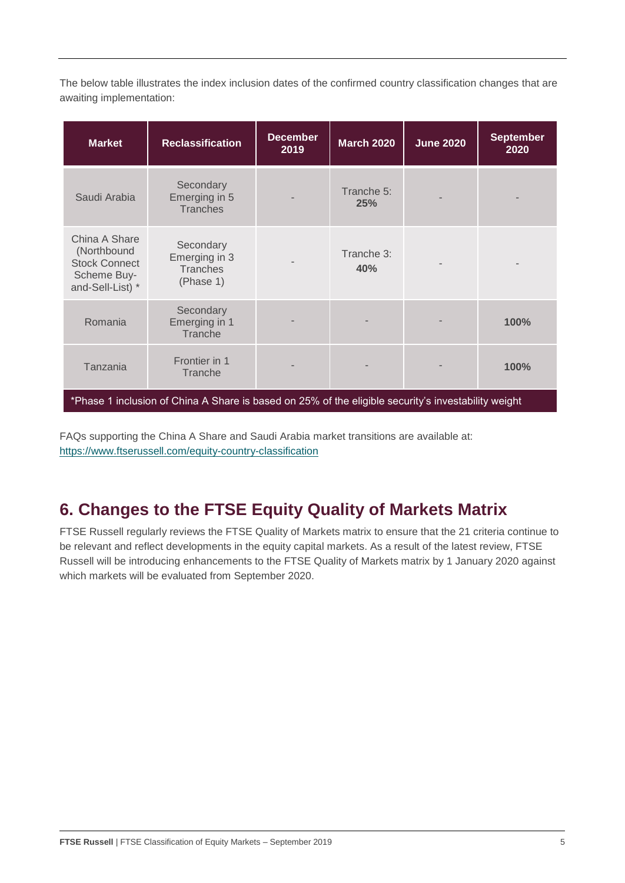The below table illustrates the index inclusion dates of the confirmed country classification changes that are awaiting implementation:

| <b>Market</b>                                                                           | <b>Reclassification</b>                                                                             | <b>December</b><br>2019 | <b>March 2020</b> | <b>June 2020</b> | <b>September</b><br>2020 |
|-----------------------------------------------------------------------------------------|-----------------------------------------------------------------------------------------------------|-------------------------|-------------------|------------------|--------------------------|
| Saudi Arabia                                                                            | Secondary<br>Emerging in 5<br><b>Tranches</b>                                                       |                         | Tranche 5:<br>25% |                  |                          |
| China A Share<br>(Northbound<br><b>Stock Connect</b><br>Scheme Buy-<br>and-Sell-List) * | Secondary<br>Emerging in 3<br><b>Tranches</b><br>(Phase 1)                                          |                         | Tranche 3:<br>40% |                  |                          |
| Romania                                                                                 | Secondary<br>Emerging in 1<br>Tranche                                                               |                         |                   |                  | 100%                     |
| Tanzania                                                                                | Frontier in 1<br>Tranche                                                                            |                         |                   |                  | 100%                     |
|                                                                                         | *Phase 1 inclusion of China A Share is based on 25% of the eligible security's investability weight |                         |                   |                  |                          |

FAQs supporting the China A Share and Saudi Arabia market transitions are available at: <https://www.ftserussell.com/equity-country-classification>

# **6. Changes to the FTSE Equity Quality of Markets Matrix**

FTSE Russell regularly reviews the FTSE Quality of Markets matrix to ensure that the 21 criteria continue to be relevant and reflect developments in the equity capital markets. As a result of the latest review, FTSE Russell will be introducing enhancements to the FTSE Quality of Markets matrix by 1 January 2020 against which markets will be evaluated from September 2020.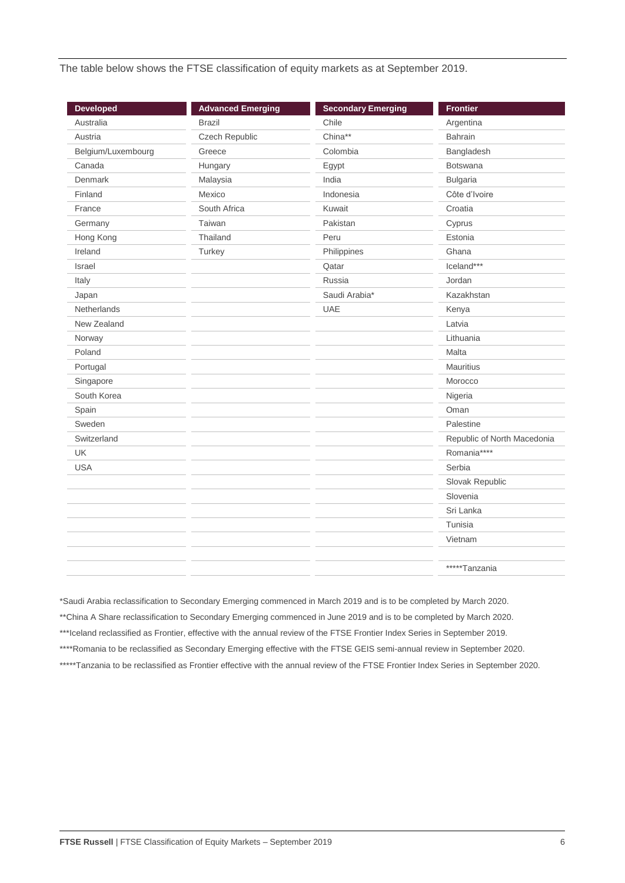The table below shows the FTSE classification of equity markets as at September 2019.

| <b>Developed</b>   | <b>Advanced Emerging</b> | <b>Secondary Emerging</b> | <b>Frontier</b>             |
|--------------------|--------------------------|---------------------------|-----------------------------|
| Australia          | <b>Brazil</b>            | Chile                     | Argentina                   |
| Austria            | Czech Republic           | China**                   | <b>Bahrain</b>              |
| Belgium/Luxembourg | Greece                   | Colombia                  | Bangladesh                  |
| Canada             | Hungary                  | Egypt                     | <b>Botswana</b>             |
| Denmark            | Malaysia                 | India                     | <b>Bulgaria</b>             |
| Finland            | Mexico                   | Indonesia                 | Côte d'Ivoire               |
| France             | South Africa             | Kuwait                    | Croatia                     |
| Germany            | Taiwan                   | Pakistan                  | Cyprus                      |
| Hong Kong          | Thailand                 | Peru                      | Estonia                     |
| Ireland            | Turkey                   | Philippines               | Ghana                       |
| Israel             |                          | Qatar                     | Iceland***                  |
| Italy              |                          | Russia                    | Jordan                      |
| Japan              |                          | Saudi Arabia*             | Kazakhstan                  |
| <b>Netherlands</b> |                          | <b>UAE</b>                | Kenya                       |
| New Zealand        |                          |                           | Latvia                      |
| Norway             |                          |                           | Lithuania                   |
| Poland             |                          |                           | Malta                       |
| Portugal           |                          |                           | Mauritius                   |
| Singapore          |                          |                           | Morocco                     |
| South Korea        |                          |                           | Nigeria                     |
| Spain              |                          |                           | Oman                        |
| Sweden             |                          |                           | Palestine                   |
| Switzerland        |                          |                           | Republic of North Macedonia |
| UK                 |                          |                           | Romania****                 |
| <b>USA</b>         |                          |                           | Serbia                      |
|                    |                          |                           | Slovak Republic             |
|                    |                          |                           | Slovenia                    |
|                    |                          |                           | Sri Lanka                   |
|                    |                          |                           | Tunisia                     |
|                    |                          |                           | Vietnam                     |
|                    |                          |                           |                             |
|                    |                          |                           | *****Tanzania               |

\*Saudi Arabia reclassification to Secondary Emerging commenced in March 2019 and is to be completed by March 2020. \*\*China A Share reclassification to Secondary Emerging commenced in June 2019 and is to be completed by March 2020. \*\*\*Iceland reclassified as Frontier, effective with the annual review of the FTSE Frontier Index Series in September 2019. \*\*\*\*Romania to be reclassified as Secondary Emerging effective with the FTSE GEIS semi-annual review in September 2020. \*\*\*\*\*Tanzania to be reclassified as Frontier effective with the annual review of the FTSE Frontier Index Series in September 2020.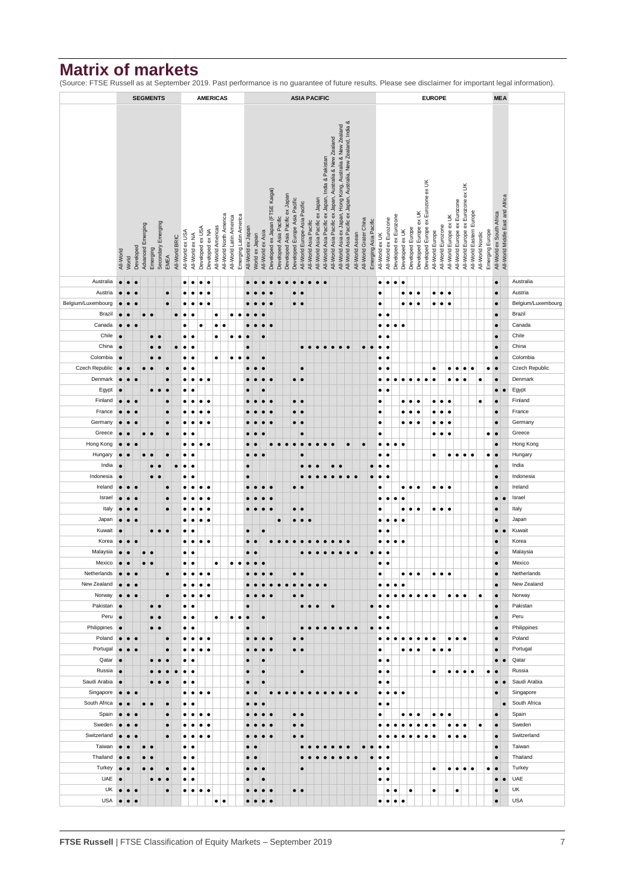## **Matrix of markets**

(Source: FTSE Russell as at September 2019. Past performance is no guarantee of future results. Please see disclaimer for important legal information).

|                        |                        |           |                                                                                                                                 |                   |            | <b>SEGMENTS</b>                                          |           | <b>AMERICAS</b><br><b>ASIA PACIFIC</b> |                        |                        |                  |                 |                    |                         |                                                   |                        |                |                         |                                  |                        | <b>EUROPE</b>                   |                               |                                                         |                                 |                                                   |           |           |           |                 |                        |                       |                                          |                                                |                  | <b>MEA</b>       |                        |                                    |                         |                                              |                              |                                    |                          |                  |                 |                                                               |           |                    |
|------------------------|------------------------|-----------|---------------------------------------------------------------------------------------------------------------------------------|-------------------|------------|----------------------------------------------------------|-----------|----------------------------------------|------------------------|------------------------|------------------|-----------------|--------------------|-------------------------|---------------------------------------------------|------------------------|----------------|-------------------------|----------------------------------|------------------------|---------------------------------|-------------------------------|---------------------------------------------------------|---------------------------------|---------------------------------------------------|-----------|-----------|-----------|-----------------|------------------------|-----------------------|------------------------------------------|------------------------------------------------|------------------|------------------|------------------------|------------------------------------|-------------------------|----------------------------------------------|------------------------------|------------------------------------|--------------------------|------------------|-----------------|---------------------------------------------------------------|-----------|--------------------|
|                        |                        |           |                                                                                                                                 |                   |            |                                                          |           |                                        |                        |                        |                  |                 |                    |                         |                                                   |                        |                |                         |                                  |                        |                                 |                               |                                                         |                                 |                                                   |           |           |           |                 |                        |                       |                                          |                                                |                  |                  |                        |                                    |                         |                                              |                              |                                    |                          |                  |                 |                                                               |           |                    |
|                        |                        |           |                                                                                                                                 |                   |            |                                                          |           |                                        |                        |                        |                  |                 |                    |                         |                                                   |                        |                |                         |                                  |                        |                                 |                               |                                                         |                                 |                                                   |           |           |           |                 |                        |                       |                                          |                                                |                  |                  |                        |                                    |                         |                                              |                              |                                    |                          |                  |                 |                                                               |           |                    |
|                        |                        |           | All-World Asia Pacific ex Japan, Australia, New Zealand, India &<br>All-World Asia ex Japan, Hong Kong, Australia & New Zealand |                   |            |                                                          |           |                                        |                        |                        |                  |                 |                    |                         |                                                   |                        |                |                         |                                  |                        |                                 |                               |                                                         |                                 |                                                   |           |           |           |                 |                        |                       |                                          |                                                |                  |                  |                        |                                    |                         |                                              |                              |                                    |                          |                  |                 |                                                               |           |                    |
|                        |                        |           |                                                                                                                                 |                   |            |                                                          |           |                                        |                        |                        |                  |                 |                    |                         |                                                   |                        |                |                         |                                  |                        |                                 |                               |                                                         |                                 |                                                   |           |           |           |                 |                        |                       |                                          |                                                |                  |                  |                        |                                    |                         |                                              |                              |                                    |                          |                  |                 |                                                               |           |                    |
|                        |                        |           |                                                                                                                                 |                   |            | All-World Asia Pacific ex Japan, Australia & New Zealand |           |                                        |                        |                        |                  |                 |                    |                         |                                                   |                        |                |                         |                                  |                        |                                 |                               |                                                         |                                 |                                                   |           |           |           |                 |                        |                       |                                          |                                                |                  |                  |                        |                                    |                         |                                              |                              |                                    |                          |                  |                 |                                                               |           |                    |
|                        |                        |           |                                                                                                                                 |                   |            |                                                          |           |                                        |                        |                        |                  |                 |                    |                         |                                                   |                        |                |                         |                                  |                        |                                 |                               |                                                         |                                 | All-World Asia Pacific ex Japan, India & Pakistan |           |           |           |                 |                        |                       |                                          |                                                |                  |                  |                        |                                    |                         |                                              |                              |                                    |                          |                  |                 |                                                               |           |                    |
|                        |                        |           |                                                                                                                                 |                   |            |                                                          |           |                                        |                        |                        |                  |                 |                    |                         |                                                   |                        |                |                         |                                  |                        |                                 |                               |                                                         |                                 |                                                   |           |           |           |                 |                        |                       |                                          |                                                |                  |                  |                        |                                    |                         |                                              |                              |                                    |                          |                  |                 |                                                               |           |                    |
|                        |                        |           |                                                                                                                                 |                   |            |                                                          |           |                                        |                        |                        |                  |                 |                    |                         |                                                   |                        |                |                         |                                  |                        |                                 |                               |                                                         |                                 |                                                   |           |           |           |                 |                        |                       |                                          |                                                |                  |                  |                        |                                    |                         |                                              |                              |                                    |                          |                  |                 |                                                               |           |                    |
|                        |                        |           |                                                                                                                                 |                   |            |                                                          |           |                                        |                        |                        |                  |                 |                    |                         |                                                   |                        |                |                         |                                  |                        |                                 |                               |                                                         |                                 |                                                   |           |           |           |                 |                        |                       |                                          |                                                |                  |                  |                        |                                    |                         |                                              |                              |                                    |                          |                  |                 |                                                               |           |                    |
|                        |                        |           |                                                                                                                                 |                   |            |                                                          |           |                                        |                        |                        |                  |                 |                    |                         |                                                   |                        |                |                         |                                  |                        |                                 |                               |                                                         |                                 |                                                   |           |           |           |                 |                        |                       |                                          |                                                |                  |                  |                        |                                    |                         |                                              |                              |                                    |                          |                  |                 |                                                               |           |                    |
|                        |                        |           |                                                                                                                                 |                   |            |                                                          |           |                                        |                        |                        |                  |                 |                    |                         |                                                   |                        |                |                         |                                  |                        |                                 |                               |                                                         |                                 |                                                   |           |           |           |                 |                        |                       |                                          |                                                |                  |                  |                        |                                    |                         |                                              |                              |                                    |                          |                  |                 |                                                               |           |                    |
|                        |                        |           |                                                                                                                                 | Advanced Emerging |            | Secondary Emerging                                       |           |                                        | All-World ex USA       |                        | Developed ex USA | Developed ex NA | All-World Americas | All-World North America | All-World Latin America<br>Emerging Latin America | All-World ex Japan     |                |                         | Developed ex Japan (FTSE Kaigai) | Developed Asia Pacific | Developed Asia Pacific ex Japan | Developed Europe Asia Pacific | All-World Europe-Asia Pacific<br>All-World Asia Pacific | All-World Asia Pacific ex Japan |                                                   |           |           |           |                 | All-World Grater China | Emerging Asia Pacific |                                          | Developed ex Eurozone<br>All-World ex Eurozone | Developed ex UK  | Developed Europe | Developed Europe ex UK | Developed Europe ex Eurozone ex UK |                         | All-World Europe ex UK<br>All-World Eurozone | All-World Europe ex Eurozone | All-World Europe ex Eurozone ex UK | All-World Eastern Europe |                  | Emerging Europe | All-World ex South Africa<br>All-World Middle East and Africa |           |                    |
|                        |                        |           |                                                                                                                                 |                   |            |                                                          |           | All-World BRIC                         |                        | All-World ex NA        |                  |                 |                    |                         |                                                   |                        | World ex Japan | All-World ex Asia       |                                  |                        |                                 |                               |                                                         |                                 |                                                   |           |           |           | All-World Asean |                        |                       | All-World ex UK                          |                                                |                  |                  |                        |                                    | All-World Europe        |                                              |                              |                                    |                          | All-World Nordic |                 |                                                               |           |                    |
|                        | All-World              | World     | Developed                                                                                                                       |                   | Emerging   |                                                          | EMEA      |                                        |                        |                        |                  |                 |                    |                         |                                                   |                        |                |                         |                                  |                        |                                 |                               |                                                         |                                 |                                                   |           |           |           |                 |                        |                       |                                          |                                                |                  |                  |                        |                                    |                         |                                              |                              |                                    |                          |                  |                 |                                                               |           |                    |
|                        |                        |           |                                                                                                                                 |                   |            |                                                          |           |                                        |                        |                        |                  |                 |                    |                         |                                                   |                        |                |                         |                                  |                        |                                 |                               |                                                         |                                 |                                                   |           |           |           |                 |                        |                       |                                          |                                                |                  |                  |                        |                                    |                         |                                              |                              |                                    |                          |                  |                 |                                                               |           |                    |
| Australia              | $\bullet$              |           |                                                                                                                                 |                   |            |                                                          |           |                                        | $\bullet$              | $\bullet$              | $\bullet$        | $\bullet$       |                    |                         |                                                   |                        |                |                         |                                  |                        |                                 |                               |                                                         |                                 |                                                   |           |           |           |                 |                        |                       | ٠<br>$\bullet$                           | $\bullet$                                      |                  |                  |                        |                                    |                         |                                              |                              |                                    |                          |                  |                 | $\bullet$                                                     |           | Australia          |
| Austria                |                        |           |                                                                                                                                 |                   |            |                                                          | $\bullet$ |                                        | $\bullet$              |                        |                  |                 |                    |                         |                                                   |                        |                |                         |                                  |                        |                                 | $\bullet$<br>٠                |                                                         |                                 |                                                   |           |           |           |                 |                        |                       | $\bullet$                                |                                                | $\bullet$        | $\bullet$        |                        |                                    | $\bullet$<br>$\bullet$  | $\bullet$                                    |                              |                                    |                          |                  |                 | $\bullet$                                                     |           | Austria            |
| Belgium/Luxembourg     | $\bullet$              |           |                                                                                                                                 |                   |            |                                                          |           |                                        | $\bullet$              |                        | $\bullet$        |                 |                    |                         |                                                   |                        |                |                         |                                  |                        |                                 | $\bullet$<br>$\bullet$        |                                                         |                                 |                                                   |           |           |           |                 |                        |                       | $\bullet$                                |                                                |                  | $\bullet$        |                        |                                    | $\bullet$<br>$\bullet$  | $\bullet$                                    |                              |                                    |                          |                  |                 | $\bullet$                                                     |           | Belgium/Luxembourg |
| Brazil                 | $\bullet$              |           |                                                                                                                                 |                   | $\epsilon$ |                                                          |           | $\bullet$                              | $\bullet$              | ٠                      |                  |                 | ٠                  |                         | $\bullet$<br>$\bullet$                            |                        |                |                         |                                  |                        |                                 |                               |                                                         |                                 |                                                   |           |           |           |                 |                        |                       | ٠                                        |                                                |                  |                  |                        |                                    |                         |                                              |                              |                                    |                          |                  |                 | $\bullet$                                                     |           | Brazil             |
| Canada                 | $\bullet$              |           |                                                                                                                                 |                   |            |                                                          |           |                                        | $\bullet$              |                        | $\bullet$        |                 | ٠                  | $\bullet$               |                                                   |                        |                |                         |                                  |                        |                                 |                               |                                                         |                                 |                                                   |           |           |           |                 |                        |                       | ٠<br>٠                                   | $\bullet$                                      | ٠                |                  |                        |                                    |                         |                                              |                              |                                    |                          |                  |                 | $\bullet$                                                     |           | Canada             |
| Chile                  | $\bullet$              |           |                                                                                                                                 |                   | $\bullet$  |                                                          |           |                                        | ٠                      | $\bullet$              |                  |                 | ٠                  |                         | ٠<br>$\bullet$                                    |                        |                |                         |                                  |                        |                                 |                               |                                                         |                                 |                                                   |           |           |           |                 |                        |                       | ٠<br>٠                                   |                                                |                  |                  |                        |                                    |                         |                                              |                              |                                    |                          |                  |                 | $\bullet$                                                     |           | Chile              |
| China                  | $\bullet$              |           |                                                                                                                                 |                   |            |                                                          |           | $\bullet$                              | $\bullet$              | $\bullet$              |                  |                 |                    |                         |                                                   | c                      |                |                         |                                  |                        |                                 |                               | $\bullet$<br>$\bullet$                                  | $\bullet$                       | $\bullet$                                         | $\bullet$ | $\bullet$ | $\bullet$ |                 | $\bullet$              | $\bullet$             | ٠<br>٠                                   |                                                |                  |                  |                        |                                    |                         |                                              |                              |                                    |                          |                  |                 | $\bullet$                                                     |           | China              |
| Colombia               | $\bullet$              |           |                                                                                                                                 |                   |            |                                                          |           |                                        | $\bullet$              | $\bullet$              |                  |                 | ٠                  |                         | ٠<br>$\bullet$                                    | $\bullet$              |                | $\bullet$               |                                  |                        |                                 |                               |                                                         |                                 |                                                   |           |           |           |                 |                        |                       | ٠<br>٠                                   |                                                |                  |                  |                        |                                    |                         |                                              |                              |                                    |                          |                  |                 | $\bullet$                                                     |           | Colombia           |
| Czech Republic         | $\bullet$              |           |                                                                                                                                 |                   |            |                                                          |           |                                        | $\bullet$              | $\bullet$              |                  |                 |                    |                         |                                                   |                        |                |                         |                                  |                        |                                 | $\bullet$                     |                                                         |                                 |                                                   |           |           |           |                 |                        |                       | ٠                                        |                                                |                  |                  |                        |                                    | $\bullet$               | ٠                                            | $\bullet$                    | $\bullet$                          |                          |                  | $\bullet$       | $\bullet$                                                     |           | Czech Republic     |
| Denmark                | $\bullet$              |           |                                                                                                                                 |                   |            |                                                          | $\bullet$ |                                        | $\bullet$              | $\bullet$              | $\bullet$        | $\bullet$       |                    |                         |                                                   |                        |                |                         |                                  |                        |                                 | $\bullet$<br>$\bullet$        |                                                         |                                 |                                                   |           |           |           |                 |                        |                       | $\bullet$                                |                                                |                  | $\bullet$        | ٠                      | $\bullet$                          | $\bullet$               | ٠                                            | $\bullet$                    | ٠                                  |                          | $\bullet$        |                 | $\bullet$                                                     |           | Denmark            |
| Egypt                  | $\bullet$              |           |                                                                                                                                 |                   | $\bullet$  | $\bullet$                                                | $\bullet$ |                                        | $\bullet$              | $\bullet$              |                  |                 |                    |                         |                                                   |                        |                |                         |                                  |                        |                                 |                               |                                                         |                                 |                                                   |           |           |           |                 |                        |                       | ٠                                        |                                                |                  |                  |                        |                                    |                         |                                              |                              |                                    |                          |                  |                 | $\bullet$                                                     | $\bullet$ | Egypt              |
| Finland                | $\bullet$              |           |                                                                                                                                 |                   |            |                                                          | $\bullet$ |                                        |                        |                        | ٠                | $\bullet$       |                    |                         |                                                   |                        |                |                         |                                  |                        |                                 | $\bullet\;\bullet$            |                                                         |                                 |                                                   |           |           |           |                 |                        |                       | $\bullet$                                |                                                | $\bullet$        | $\bullet$        |                        |                                    | ٠<br>$\bullet$          | $\bullet$                                    |                              |                                    |                          | ٠                |                 | $\bullet$                                                     |           | Finland            |
| France                 | $\bullet$              |           |                                                                                                                                 |                   |            |                                                          | $\bullet$ |                                        | $\bullet$              |                        | ٠                | $\epsilon$      |                    |                         |                                                   |                        |                |                         |                                  |                        |                                 | $\bullet$<br>$\bullet$        |                                                         |                                 |                                                   |           |           |           |                 |                        |                       | ٠                                        |                                                | $\bullet$        | $\bullet$        | ٠                      |                                    | ٠                       | $\bullet$                                    |                              |                                    |                          |                  |                 | $\bullet$                                                     |           | France             |
| Germany                | $\bullet$              |           |                                                                                                                                 |                   |            |                                                          | $\bullet$ |                                        | $\bullet$              | ٠                      | ٠                | $\bullet$       |                    |                         |                                                   |                        |                |                         |                                  |                        |                                 | $\bullet$<br>$\bullet$        |                                                         |                                 |                                                   |           |           |           |                 |                        |                       | $\bullet$                                |                                                | ٠                | ٠                | ٠                      |                                    | ٠                       | $\bullet$                                    |                              |                                    |                          |                  |                 | $\bullet$                                                     |           | Germany            |
| Greece                 | $\bullet$              |           |                                                                                                                                 | $\bullet$         |            |                                                          | $\bullet$ |                                        | $\bullet$              | ٠                      |                  |                 |                    |                         |                                                   |                        |                |                         |                                  |                        |                                 | $\bullet$                     |                                                         |                                 |                                                   |           |           |           |                 |                        |                       | ٠                                        |                                                |                  |                  |                        |                                    | ٠                       | $\bullet$<br>$\bullet$                       |                              |                                    |                          |                  | ٠               | $\bullet$                                                     |           | Greece             |
| Hong Kong              | $\bullet$              | $\bullet$ |                                                                                                                                 |                   |            |                                                          |           |                                        | $\bullet$              | $\bullet$              | $\bullet$        | $\bullet$       |                    |                         |                                                   |                        |                |                         |                                  |                        |                                 |                               |                                                         |                                 |                                                   |           |           | $\bullet$ |                 | $\bullet$              |                       | ٠<br>$\bullet$                           | $\bullet$                                      | ٠                |                  |                        |                                    |                         |                                              |                              |                                    |                          |                  |                 | $\bullet$                                                     |           | Hong Kong          |
| Hungary<br>India       | $\bullet$<br>$\bullet$ |           |                                                                                                                                 |                   | $\bullet$  |                                                          | $\bullet$ | $\bullet$                              | $\bullet$<br>$\bullet$ | ٠<br>$\bullet$         |                  |                 |                    |                         |                                                   |                        |                |                         |                                  |                        |                                 |                               |                                                         |                                 |                                                   |           |           |           |                 |                        |                       | ٠<br>$\bullet$<br>$\bullet$              |                                                |                  |                  |                        |                                    | $\bullet$               | ٠                                            | $\bullet$                    | $\bullet$                          | ٠                        |                  | ٠               | $\bullet$<br>$\bullet$                                        |           | Hungary<br>India   |
| Indonesia              | $\bullet$              |           |                                                                                                                                 |                   | $\bullet$  | $\bullet$                                                |           |                                        | $\bullet$              | ٠                      |                  |                 |                    |                         |                                                   | c                      |                |                         |                                  |                        |                                 |                               |                                                         |                                 |                                                   | $\bullet$ | $\bullet$ | $\bullet$ | $\bullet$       |                        |                       | ٠<br>$\bullet$                           |                                                |                  |                  |                        |                                    |                         |                                              |                              |                                    |                          |                  |                 | $\bullet$                                                     |           | Indonesia          |
| Ireland                | $\bullet$              |           |                                                                                                                                 |                   |            |                                                          | $\bullet$ |                                        |                        |                        | $\bullet$        |                 |                    |                         |                                                   |                        |                |                         |                                  |                        |                                 | $\bullet$<br>$\epsilon$       |                                                         |                                 |                                                   |           |           |           |                 |                        |                       | $\bullet$                                |                                                | ٠                | ٠                | ٠                      |                                    | ٠<br>$\bullet$          | $\bullet$                                    |                              |                                    |                          |                  |                 | $\bullet$                                                     |           | Ireland            |
| Israel                 | $\bullet$              |           |                                                                                                                                 |                   |            |                                                          | $\bullet$ |                                        |                        |                        | $\bullet$        | ٠               |                    |                         |                                                   |                        |                |                         |                                  |                        |                                 |                               |                                                         |                                 |                                                   |           |           |           |                 |                        |                       | ٠<br>٠                                   | $\bullet$                                      | $\bullet$        |                  |                        |                                    |                         |                                              |                              |                                    |                          |                  |                 | $\bullet$                                                     | $\bullet$ | Israel             |
| Italy                  | $\bullet$              |           |                                                                                                                                 |                   |            |                                                          | $\bullet$ |                                        | $\bullet$              |                        | ٠                | $\bullet$       |                    |                         |                                                   |                        |                |                         |                                  |                        |                                 | $\bullet$<br>$\bullet$        |                                                         |                                 |                                                   |           |           |           |                 |                        |                       | $\bullet$                                |                                                | ٠                | $\bullet$        | ٠                      |                                    | ٠                       | $\bullet\bullet$                             |                              |                                    |                          |                  |                 | $\bullet$                                                     |           | Italy              |
| Japan                  | $\bullet$              | $\bullet$ |                                                                                                                                 |                   |            |                                                          |           |                                        | $\bullet$              | ٠                      | $\bullet$        | $\bullet$       |                    |                         |                                                   |                        |                |                         |                                  | $\bullet$              |                                 | $\bullet$<br>$\bullet$        | $\epsilon$                                              |                                 |                                                   |           |           |           |                 |                        |                       | ٠<br>٠                                   | $\bullet$                                      | $\bullet$        |                  |                        |                                    |                         |                                              |                              |                                    |                          |                  |                 | $\bullet$                                                     |           | Japan              |
| Kuwait                 | $\bullet$              |           |                                                                                                                                 |                   |            |                                                          |           |                                        | $\bullet$              | ٠                      |                  |                 |                    |                         |                                                   | $\bullet$              |                | $\bullet$               |                                  |                        |                                 |                               |                                                         |                                 |                                                   |           |           |           |                 |                        |                       | $\bullet$                                |                                                |                  |                  |                        |                                    |                         |                                              |                              |                                    |                          |                  |                 | $\bullet$                                                     |           | Kuwait             |
| Korea                  |                        |           |                                                                                                                                 |                   |            |                                                          |           |                                        | $\bullet$              | $\bullet$              | $\bullet$        |                 |                    |                         |                                                   |                        |                |                         |                                  |                        |                                 |                               |                                                         |                                 |                                                   |           |           |           |                 |                        |                       | $\bullet$<br>$\bullet$                   |                                                | $\bullet\bullet$ |                  |                        |                                    |                         |                                              |                              |                                    |                          |                  |                 | $\bullet$                                                     |           | Korea              |
| Malaysia               | $\bullet$              |           |                                                                                                                                 | $\bullet$         | $\bullet$  |                                                          |           |                                        | $\bullet$              | $\bullet$              |                  |                 |                    |                         |                                                   | $\bullet$              | $\bullet$      |                         |                                  |                        |                                 |                               |                                                         |                                 |                                                   |           |           |           | $\bullet$       |                        | $\bullet$             | $\bullet$<br>$\bullet$                   |                                                |                  |                  |                        |                                    |                         |                                              |                              |                                    |                          |                  |                 | $\bullet$                                                     |           | Malaysia           |
| Mexico                 | $\bullet$              |           |                                                                                                                                 |                   |            |                                                          |           |                                        |                        |                        |                  |                 |                    |                         |                                                   |                        |                |                         |                                  |                        |                                 |                               |                                                         |                                 |                                                   |           |           |           |                 |                        |                       | ٠<br>٠                                   |                                                |                  |                  |                        |                                    |                         |                                              |                              |                                    |                          |                  |                 |                                                               |           | Mexico             |
| Netherlands            | $\bullet$              | $\bullet$ | $\bullet$                                                                                                                       |                   |            |                                                          | $\bullet$ |                                        | $\bullet$              | ٠                      | $\bullet$        | $\bullet$       |                    |                         |                                                   |                        |                | $\bullet$               | $\bullet$                        |                        |                                 | $\bullet$<br>le               |                                                         |                                 |                                                   |           |           |           |                 |                        |                       | ٠                                        |                                                | ٠                | $\bullet$        | ۱e                     |                                    | $\bullet\bullet\bullet$ |                                              |                              |                                    |                          |                  |                 | $\bullet$                                                     |           | Netherlands        |
| New Zealand            | $\bullet$              |           |                                                                                                                                 |                   |            |                                                          |           |                                        | $\bullet$              | $\bullet$              | ٠                | ٠               |                    |                         |                                                   |                        |                |                         |                                  |                        |                                 | $\bullet$<br>$\bullet$        | $\bullet$                                               | $\bullet$                       | $\bullet$                                         |           |           |           |                 |                        |                       | ٠<br>٠                                   | $\bullet$                                      | $\bullet$        |                  |                        |                                    |                         |                                              |                              |                                    |                          |                  |                 | $\bullet$                                                     |           | New Zealand        |
| Norway                 | $\bullet$              | $\bullet$ |                                                                                                                                 |                   |            |                                                          | $\bullet$ |                                        | $\bullet$              | $\bullet$              | $\bullet$        | $\bullet$       |                    |                         |                                                   |                        |                |                         |                                  |                        |                                 | $\bullet$                     |                                                         |                                 |                                                   |           |           |           |                 |                        |                       | $\bullet$<br>٠                           | $\bullet$                                      | $\bullet$        | $\bullet$        | $\bullet$              | $\bullet$                          | $\bullet$               |                                              | $\bullet\bullet\bullet$      |                                    |                          | $\bullet$        |                 | $\bullet$                                                     |           | Norway             |
| Pakistan               | $\bullet$              |           |                                                                                                                                 |                   | $\bullet$  | $\bullet$                                                |           |                                        | $\bullet$              | ٠                      |                  |                 |                    |                         |                                                   |                        |                |                         |                                  |                        |                                 |                               | $\bullet$<br>$\bullet$                                  | $\bullet$                       |                                                   | $\bullet$ |           |           |                 |                        | $\bullet$             | $\bullet$<br>٠                           |                                                |                  |                  |                        |                                    |                         |                                              |                              |                                    |                          |                  |                 | $\bullet$                                                     |           | Pakistan           |
| Peru                   | $\bullet$              |           |                                                                                                                                 |                   | $\bullet$  | $\bullet$                                                |           |                                        | $\bullet$              | $\bullet$              |                  |                 | $\bullet$          |                         | $\bullet$<br>$\bullet$                            | $\bullet$              |                | $\bullet$               |                                  |                        |                                 |                               |                                                         |                                 |                                                   |           |           |           |                 |                        |                       | ٠                                        |                                                |                  |                  |                        |                                    |                         |                                              |                              |                                    |                          |                  |                 | $\bullet$                                                     |           | Peru               |
| Philippines            | $\bullet$              |           |                                                                                                                                 |                   | $\bullet$  | $\bullet$                                                |           |                                        | $\bullet$              | $\bullet$              |                  |                 |                    |                         |                                                   | $\bullet$              |                |                         |                                  |                        |                                 |                               |                                                         |                                 |                                                   | $\bullet$ | $\bullet$ | $\bullet$ |                 |                        | $\bullet$             | $\bullet$<br>$\epsilon$                  |                                                |                  |                  |                        |                                    |                         |                                              |                              |                                    |                          |                  |                 | $\bullet$                                                     |           | Philippines        |
| Poland                 | $\bullet$              | $\bullet$ | $\epsilon$                                                                                                                      |                   |            |                                                          | $\bullet$ |                                        | $\bullet$              | ٠                      | ٠                | $\bullet$       |                    |                         |                                                   | ٠                      |                | $\bullet$               |                                  |                        |                                 | $\bullet$<br>$\bullet$        |                                                         |                                 |                                                   |           |           |           |                 |                        |                       | ٠<br>$\bullet$                           | $\bullet$                                      | $\bullet$        | $\bullet$        | $\bullet$              | ٠                                  | $\bullet$               |                                              | $\bullet\bullet\bullet$      |                                    |                          |                  |                 | $\bullet$                                                     |           | Poland             |
| Portugal               | $\bullet$              | $\bullet$ | $\bullet$                                                                                                                       |                   |            |                                                          | $\bullet$ |                                        | $\bullet$              | ٠                      | ٠                | $\bullet$       |                    |                         |                                                   | c                      |                | $\bullet$               | $\bullet$                        |                        |                                 | $\bullet\bullet$              |                                                         |                                 |                                                   |           |           |           |                 |                        |                       | $\bullet$                                |                                                | ٠                | $\bullet$        | $\bullet$              |                                    | ٠<br>$\bullet$          | $\bullet$                                    |                              |                                    |                          |                  |                 | $\bullet$                                                     |           | Portugal           |
| Qatar                  | $\bullet$              |           |                                                                                                                                 |                   | $\bullet$  | $\bullet$                                                | $\bullet$ |                                        | $\bullet$              | $\bullet$              |                  |                 |                    |                         |                                                   |                        |                |                         |                                  |                        |                                 |                               |                                                         |                                 |                                                   |           |           |           |                 |                        |                       | ٠<br>$\bullet$                           |                                                |                  |                  |                        |                                    |                         |                                              |                              |                                    |                          |                  |                 | $\bullet$                                                     | $\bullet$ | Qatar<br>Russia    |
| Russia<br>Saudi Arabia | $\bullet$<br>$\bullet$ |           |                                                                                                                                 |                   |            |                                                          | $\bullet$ |                                        | $\bullet$<br>٠         | $\bullet$<br>$\bullet$ |                  |                 |                    |                         |                                                   | $\bullet$<br>$\bullet$ |                | $\bullet$<br>$\bullet$  |                                  |                        |                                 | $\bullet$                     |                                                         |                                 |                                                   |           |           |           |                 |                        |                       | ٠<br>$\bullet$<br>$\bullet$<br>$\bullet$ |                                                |                  |                  |                        |                                    | $\bullet$               |                                              | $\bullet\bullet\bullet$      |                                    | ٠                        |                  | ٠               | $\bullet$<br>$\bullet$                                        | $\bullet$ | Saudi Arabia       |
| Singapore              | $\bullet$              | I.        | $\epsilon$                                                                                                                      |                   |            |                                                          |           |                                        | $\bullet$              | $\bullet$              | $\bullet$        | $\bullet$       |                    |                         |                                                   | ٠                      | $\bullet$      |                         | $\bullet$                        | $\bullet$              | $\bullet$                       | $\bullet$<br>$\bullet$        | $\bullet$                                               | $\bullet$                       | $\bullet$                                         | $\bullet$ | $\bullet$ | $\bullet$ |                 |                        |                       | ٠<br>٠                                   |                                                | $\bullet\bullet$ |                  |                        |                                    |                         |                                              |                              |                                    |                          |                  |                 | $\bullet$                                                     |           | Singapore          |
| South Africa           | $\bullet$              |           |                                                                                                                                 | $\bullet$         |            |                                                          | $\bullet$ |                                        | $\bullet$              | $\bullet$              |                  |                 |                    |                         |                                                   |                        | $\bullet$      |                         |                                  |                        |                                 |                               |                                                         |                                 |                                                   |           |           |           |                 |                        |                       | $\bullet$                                |                                                |                  |                  |                        |                                    |                         |                                              |                              |                                    |                          |                  |                 |                                                               | $\bullet$ | South Africa       |
| Spain                  | $\bullet$              |           |                                                                                                                                 |                   |            |                                                          | $\bullet$ |                                        | $\bullet$              | $\bullet$              | $\bullet$        | $\epsilon$      |                    |                         |                                                   |                        |                |                         |                                  |                        |                                 | $\bullet\bullet$              |                                                         |                                 |                                                   |           |           |           |                 |                        |                       | $\bullet$                                |                                                | $\bullet$        | $\bullet$        |                        |                                    | $\bullet$<br>$\bullet$  | $\bullet$                                    |                              |                                    |                          |                  |                 | $\bullet$                                                     |           | Spain              |
| Sweden                 | $\bullet$              | $\bullet$ | $\epsilon$                                                                                                                      |                   |            |                                                          | $\bullet$ |                                        | $\bullet$              | ٠                      | ٠                | $\bullet$       |                    |                         |                                                   |                        |                |                         |                                  |                        |                                 | $\bullet\;\bullet$            |                                                         |                                 |                                                   |           |           |           |                 |                        |                       | $\bullet$                                |                                                | ٠                | ٠                | $\bullet$              | ٠                                  | $\bullet$               | ٠                                            | $\bullet$                    | $\bullet$                          |                          | $\bullet$        |                 | $\bullet$                                                     |           | Sweden             |
| Switzerland            | $\bullet$              | $\bullet$ |                                                                                                                                 |                   |            |                                                          | $\bullet$ |                                        | $\bullet$              | $\bullet$              | ٠                | $\bullet$       |                    |                         |                                                   |                        |                |                         |                                  |                        |                                 | $\bullet$<br>$\bullet$        |                                                         |                                 |                                                   |           |           |           |                 |                        |                       | $\bullet$                                | ٠                                              | $\bullet$        | ٠                | $\bullet$              | ٠                                  | ٠                       |                                              | $\bullet\bullet\bullet$      |                                    |                          |                  |                 | $\bullet$                                                     |           | Switzerland        |
| Taiwan                 | $\bullet$              |           |                                                                                                                                 | $\bullet$         | $\bullet$  |                                                          |           |                                        | ٠                      | $\bullet$              |                  |                 |                    |                         |                                                   | $\bullet$              | $\bullet$      |                         |                                  |                        |                                 |                               | $\bullet$                                               |                                 |                                                   |           |           |           |                 | $\bullet$              |                       | ٠                                        |                                                |                  |                  |                        |                                    |                         |                                              |                              |                                    |                          |                  |                 | $\bullet$                                                     |           | Taiwan             |
| Thailand               | $\bullet$              | $\bullet$ |                                                                                                                                 |                   |            |                                                          |           |                                        | ٠                      | $\bullet$              |                  |                 |                    |                         |                                                   |                        | $\epsilon$     |                         |                                  |                        |                                 |                               |                                                         |                                 |                                                   |           |           |           |                 |                        | $\bullet$             | $\bullet$<br>$\bullet$                   |                                                |                  |                  |                        |                                    |                         |                                              |                              |                                    |                          |                  |                 | $\bullet$                                                     |           | Thailand           |
| Turkey                 | $\bullet$              | ۰         |                                                                                                                                 | $\bullet$         | $\bullet$  |                                                          | $\bullet$ |                                        | ٠                      | $\bullet$              |                  |                 |                    |                         |                                                   |                        | $\bullet$      | $\bullet$               |                                  |                        |                                 | $\bullet$                     |                                                         |                                 |                                                   |           |           |           |                 |                        |                       | $\bullet$<br>$\bullet$                   |                                                |                  |                  |                        |                                    | $\bullet$               |                                              | $\bullet\bullet\bullet$      |                                    | $\bullet$                |                  | $\bullet$       | $\bullet$                                                     |           | Turkey             |
| UAE                    | $\bullet$              |           |                                                                                                                                 |                   | $\bullet$  | $\bullet$                                                | $\bullet$ |                                        | ٠                      | $\bullet$              |                  |                 |                    |                         |                                                   | c                      |                | $\bullet$               |                                  |                        |                                 |                               |                                                         |                                 |                                                   |           |           |           |                 |                        |                       | $\bullet$<br>٠                           |                                                |                  |                  |                        |                                    |                         |                                              |                              |                                    |                          |                  |                 | $\bullet$                                                     | $\bullet$ | UAE                |
| UK                     | $\bullet$              | $\bullet$ | $\bullet$                                                                                                                       |                   |            |                                                          | $\bullet$ |                                        | ٠                      | $\bullet$              | $\bullet$        | $\bullet$       |                    |                         |                                                   |                        |                |                         |                                  |                        |                                 | $\bullet\bullet$              |                                                         |                                 |                                                   |           |           |           |                 |                        |                       | $\bullet$                                | $\bullet$                                      |                  | $\bullet$        |                        |                                    | $\bullet$               |                                              | $\bullet$                    |                                    |                          |                  |                 | $\bullet$                                                     |           | UK                 |
| USA                    | $\bullet$              | $\bullet$ | $\bullet$                                                                                                                       |                   |            |                                                          |           |                                        |                        |                        |                  |                 | $\bullet$          | $\bullet$               |                                                   |                        |                | $\bullet\bullet\bullet$ | $\bullet$                        |                        |                                 |                               |                                                         |                                 |                                                   |           |           |           |                 |                        |                       | $\bullet$<br>$\bullet$                   | $\bullet$                                      |                  |                  |                        |                                    |                         |                                              |                              |                                    |                          |                  |                 | $\bullet$                                                     |           | <b>USA</b>         |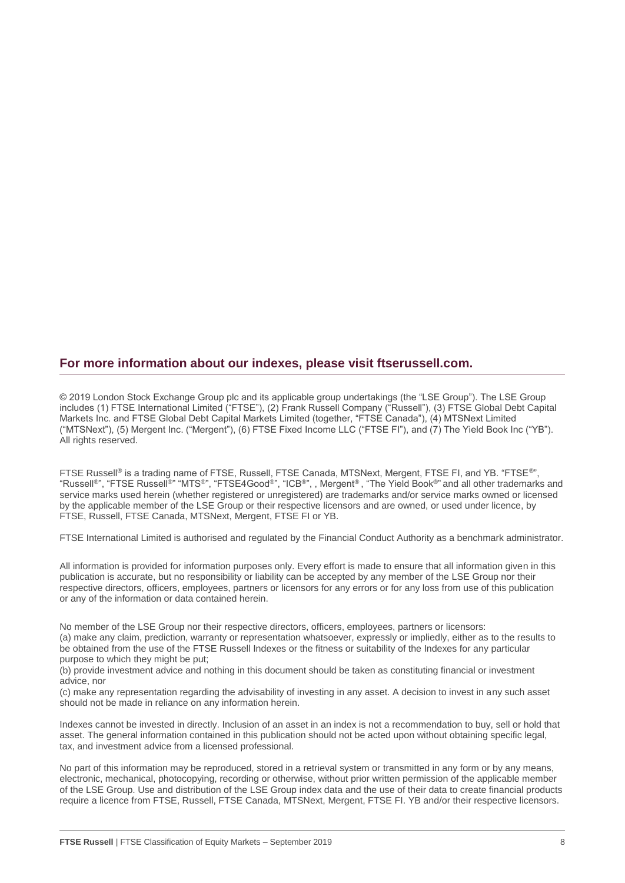#### **For more information about our indexes, please visit ftserussell.com.**

© 2019 London Stock Exchange Group plc and its applicable group undertakings (the "LSE Group"). The LSE Group includes (1) FTSE International Limited ("FTSE"), (2) Frank Russell Company ("Russell"), (3) FTSE Global Debt Capital Markets Inc. and FTSE Global Debt Capital Markets Limited (together, "FTSE Canada"), (4) MTSNext Limited ("MTSNext"), (5) Mergent Inc. ("Mergent"), (6) FTSE Fixed Income LLC ("FTSE FI"), and (7) The Yield Book Inc ("YB"). All rights reserved.

FTSE Russell® is a trading name of FTSE, Russell, FTSE Canada, MTSNext, Mergent, FTSE FI, and YB. "FTSE®", "Russell®", "FTSE Russell®" "MTS®", "FTSE4Good®", "ICB®", , Mergent® , "The Yield Book®" and all other trademarks and service marks used herein (whether registered or unregistered) are trademarks and/or service marks owned or licensed by the applicable member of the LSE Group or their respective licensors and are owned, or used under licence, by FTSE, Russell, FTSE Canada, MTSNext, Mergent, FTSE FI or YB.

FTSE International Limited is authorised and regulated by the Financial Conduct Authority as a benchmark administrator.

All information is provided for information purposes only. Every effort is made to ensure that all information given in this publication is accurate, but no responsibility or liability can be accepted by any member of the LSE Group nor their respective directors, officers, employees, partners or licensors for any errors or for any loss from use of this publication or any of the information or data contained herein.

No member of the LSE Group nor their respective directors, officers, employees, partners or licensors: (a) make any claim, prediction, warranty or representation whatsoever, expressly or impliedly, either as to the results to be obtained from the use of the FTSE Russell Indexes or the fitness or suitability of the Indexes for any particular purpose to which they might be put;

(b) provide investment advice and nothing in this document should be taken as constituting financial or investment advice, nor

(c) make any representation regarding the advisability of investing in any asset. A decision to invest in any such asset should not be made in reliance on any information herein.

Indexes cannot be invested in directly. Inclusion of an asset in an index is not a recommendation to buy, sell or hold that asset. The general information contained in this publication should not be acted upon without obtaining specific legal, tax, and investment advice from a licensed professional.

No part of this information may be reproduced, stored in a retrieval system or transmitted in any form or by any means, electronic, mechanical, photocopying, recording or otherwise, without prior written permission of the applicable member of the LSE Group. Use and distribution of the LSE Group index data and the use of their data to create financial products require a licence from FTSE, Russell, FTSE Canada, MTSNext, Mergent, FTSE FI. YB and/or their respective licensors.